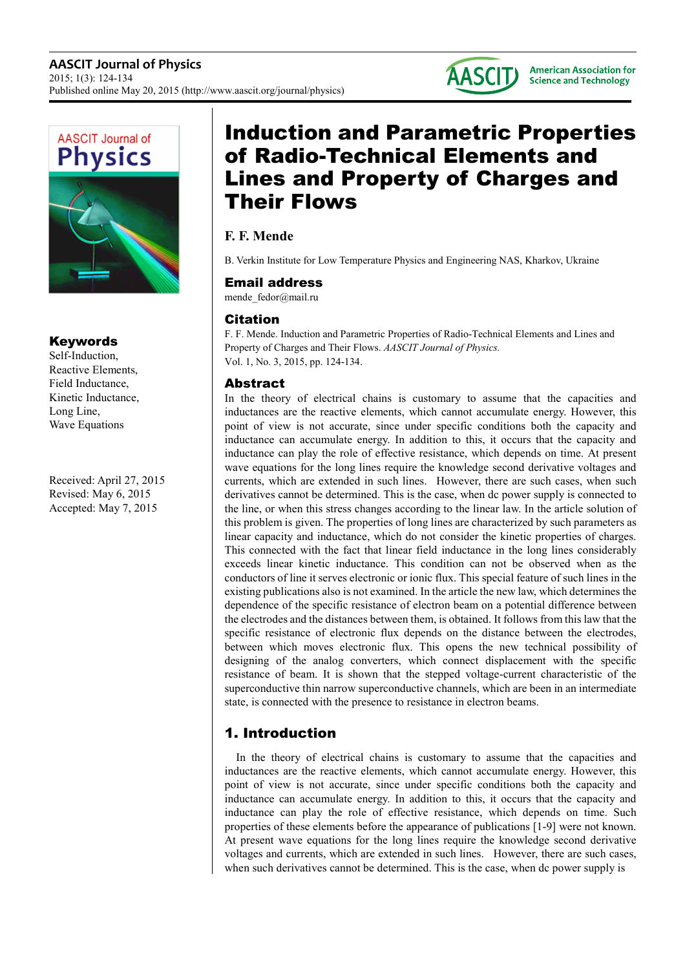



## Keywords

Self-Induction, Reactive Elements, Field Inductance, Kinetic Inductance, Long Line, Wave Equations

Received: April 27, 2015 Revised: May 6, 2015 Accepted: May 7, 2015

# Induction and Parametric Properties of Radio-Technical Elements and Lines and Property of Charges and Their Flows

# **F. F. Mende**

B. Verkin Institute for Low Temperature Physics and Engineering NAS, Kharkov, Ukraine

#### Email address

mende\_fedor@mail.ru

## Citation

F. F. Mende. Induction and Parametric Properties of Radio-Technical Elements and Lines and Property of Charges and Their Flows. *AASCIT Journal of Physics.* Vol. 1, No. 3, 2015, pp. 124-134.

## Abstract

In the theory of electrical chains is customary to assume that the capacities and inductances are the reactive elements, which cannot accumulate energy. However, this point of view is not accurate, since under specific conditions both the capacity and inductance can accumulate energy. In addition to this, it occurs that the capacity and inductance can play the role of effective resistance, which depends on time. At present wave equations for the long lines require the knowledge second derivative voltages and currents, which are extended in such lines. However, there are such cases, when such derivatives cannot be determined. This is the case, when dc power supply is connected to the line, or when this stress changes according to the linear law. In the article solution of this problem is given. The properties of long lines are characterized by such parameters as linear capacity and inductance, which do not consider the kinetic properties of charges. This connected with the fact that linear field inductance in the long lines considerably exceeds linear kinetic inductance. This condition can not be observed when as the conductors of line it serves electronic or ionic flux. This special feature of such lines in the existing publications also is not examined. In the article the new law, which determines the dependence of the specific resistance of electron beam on a potential difference between the electrodes and the distances between them, is obtained. It follows from this law that the specific resistance of electronic flux depends on the distance between the electrodes, between which moves electronic flux. This opens the new technical possibility of designing of the analog converters, which connect displacement with the specific resistance of beam. It is shown that the stepped voltage-current characteristic of the superconductive thin narrow superconductive channels, which are been in an intermediate state, is connected with the presence to resistance in electron beams.

# 1. Introduction

In the theory of electrical chains is customary to assume that the capacities and inductances are the reactive elements, which cannot accumulate energy. However, this point of view is not accurate, since under specific conditions both the capacity and inductance can accumulate energy. In addition to this, it occurs that the capacity and inductance can play the role of effective resistance, which depends on time. Such properties of these elements before the appearance of publications [1-9] were not known. At present wave equations for the long lines require the knowledge second derivative voltages and currents, which are extended in such lines. However, there are such cases, when such derivatives cannot be determined. This is the case, when dc power supply is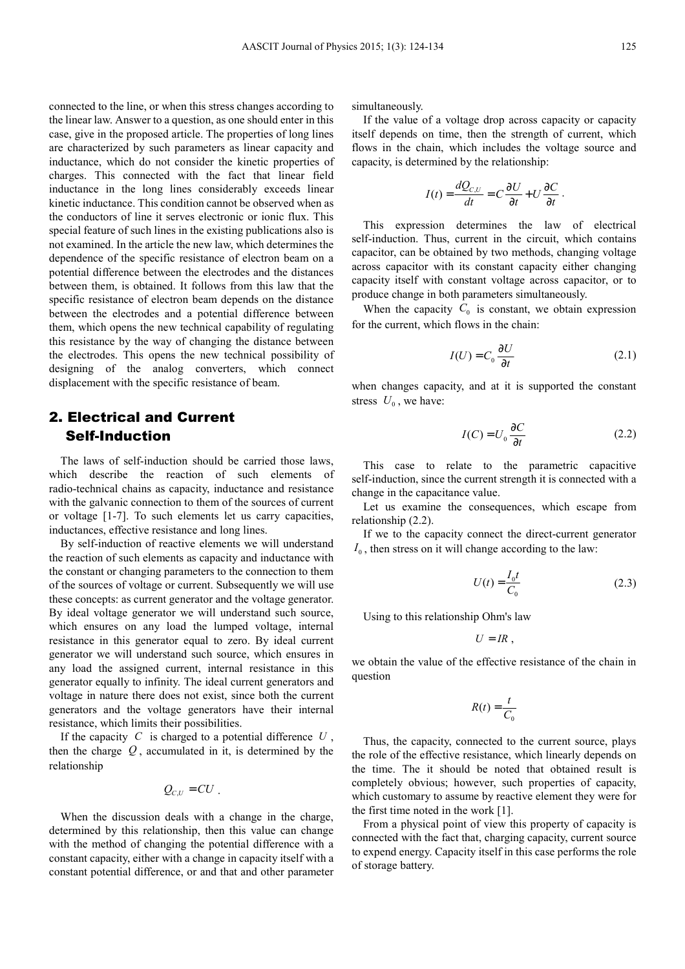connected to the line, or when this stress changes according to the linear law. Answer to a question, as one should enter in this case, give in the proposed article. The properties of long lines are characterized by such parameters as linear capacity and inductance, which do not consider the kinetic properties of charges. This connected with the fact that linear field inductance in the long lines considerably exceeds linear kinetic inductance. This condition cannot be observed when as the conductors of line it serves electronic or ionic flux. This special feature of such lines in the existing publications also is not examined. In the article the new law, which determines the dependence of the specific resistance of electron beam on a potential difference between the electrodes and the distances between them, is obtained. It follows from this law that the specific resistance of electron beam depends on the distance between the electrodes and a potential difference between them, which opens the new technical capability of regulating this resistance by the way of changing the distance between the electrodes. This opens the new technical possibility of designing of the analog converters, which connect displacement with the specific resistance of beam.

# 2. Electrical and Current Self-Induction

The laws of self-induction should be carried those laws, which describe the reaction of such elements of radio-technical chains as capacity, inductance and resistance with the galvanic connection to them of the sources of current or voltage [1-7]. To such elements let us carry capacities, inductances, effective resistance and long lines.

By self-induction of reactive elements we will understand the reaction of such elements as capacity and inductance with the constant or changing parameters to the connection to them of the sources of voltage or current. Subsequently we will use these concepts: as current generator and the voltage generator. By ideal voltage generator we will understand such source, which ensures on any load the lumped voltage, internal resistance in this generator equal to zero. By ideal current generator we will understand such source, which ensures in any load the assigned current, internal resistance in this generator equally to infinity. The ideal current generators and voltage in nature there does not exist, since both the current generators and the voltage generators have their internal resistance, which limits their possibilities.

If the capacity *C* is charged to a potential difference *U* , then the charge  $Q$ , accumulated in it, is determined by the relationship

$$
Q_{c,U}=CU.
$$

When the discussion deals with a change in the charge, determined by this relationship, then this value can change with the method of changing the potential difference with a constant capacity, either with a change in capacity itself with a constant potential difference, or and that and other parameter simultaneously.

If the value of a voltage drop across capacity or capacity itself depends on time, then the strength of current, which flows in the chain, which includes the voltage source and capacity, is determined by the relationship:

$$
I(t) = \frac{dQ_{c,U}}{dt} = C\frac{\partial U}{\partial t} + U\frac{\partial C}{\partial t}
$$

This expression determines the law of electrical self-induction. Thus, current in the circuit, which contains capacitor, can be obtained by two methods, changing voltage across capacitor with its constant capacity either changing capacity itself with constant voltage across capacitor, or to produce change in both parameters simultaneously.

When the capacity  $C_0$  is constant, we obtain expression for the current, which flows in the chain:

$$
I(U) = C_0 \frac{\partial U}{\partial t}
$$
 (2.1)

.

when changes capacity, and at it is supported the constant stress  $U_0$ , we have:

$$
I(C) = U_0 \frac{\partial C}{\partial t}
$$
 (2.2)

This case to relate to the parametric capacitive self-induction, since the current strength it is connected with a change in the capacitance value.

Let us examine the consequences, which escape from relationship (2.2).

If we to the capacity connect the direct-current generator  $I_0$ , then stress on it will change according to the law:

$$
U(t) = \frac{I_0 t}{C_0}
$$
 (2.3)

Using to this relationship Ohm's law

 $U = IR$ .

we obtain the value of the effective resistance of the chain in question

$$
R(t) = \frac{t}{C_0}
$$

Thus, the capacity, connected to the current source, plays the role of the effective resistance, which linearly depends on the time. The it should be noted that obtained result is completely obvious; however, such properties of capacity, which customary to assume by reactive element they were for the first time noted in the work [1].

From a physical point of view this property of capacity is connected with the fact that, charging capacity, current source to expend energy. Capacity itself in this case performs the role of storage battery.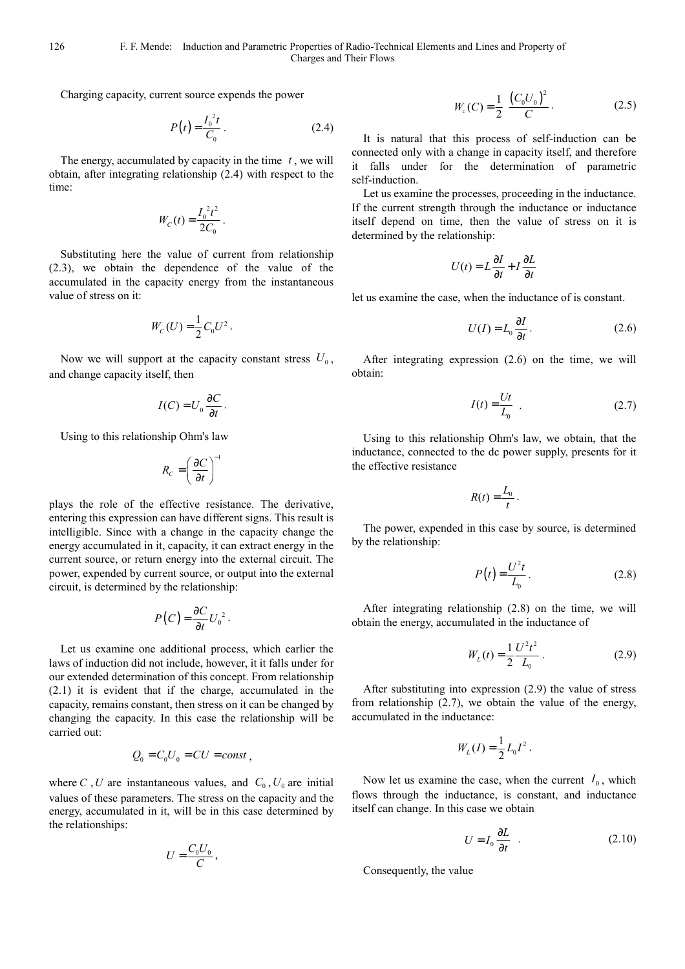Charging capacity, current source expends the power

$$
P(t) = \frac{I_0^2 t}{C_0} \,. \tag{2.4}
$$

The energy, accumulated by capacity in the time *t* , we will obtain, after integrating relationship (2.4) with respect to the time:

$$
W_C(t) = \frac{I_0^2 t^2}{2C_0}.
$$

Substituting here the value of current from relationship (2.3), we obtain the dependence of the value of the accumulated in the capacity energy from the instantaneous value of stress on it:

$$
W_C(U) = \frac{1}{2} C_0 U^2.
$$

Now we will support at the capacity constant stress  $U_0$ , and change capacity itself, then

$$
I(C) = U_0 \frac{\partial C}{\partial t}.
$$

Using to this relationship Ohm's law

$$
R_C = \left(\frac{\partial C}{\partial t}\right)^{-1}
$$

plays the role of the effective resistance. The derivative, entering this expression can have different signs. This result is intelligible. Since with a change in the capacity change the energy accumulated in it, capacity, it can extract energy in the current source, or return energy into the external circuit. The power, expended by current source, or output into the external circuit, is determined by the relationship:

$$
P(C) = \frac{\partial C}{\partial t} U_0^2.
$$

Let us examine one additional process, which earlier the laws of induction did not include, however, it it falls under for our extended determination of this concept. From relationship (2.1) it is evident that if the charge, accumulated in the capacity, remains constant, then stress on it can be changed by changing the capacity. In this case the relationship will be carried out:

$$
Q_0 = C_0 U_0 = CU = const ,
$$

where *C*, *U* are instantaneous values, and  $C_0$ ,  $U_0$  are initial values of these parameters. The stress on the capacity and the energy, accumulated in it, will be in this case determined by the relationships:

$$
U=\frac{C_0U_0}{C}\,,
$$

$$
W_c(C) = \frac{1}{2} \frac{\left(C_0 U_0\right)^2}{C} \,. \tag{2.5}
$$

It is natural that this process of self-induction can be connected only with a change in capacity itself, and therefore it falls under for the determination of parametric self-induction.

Let us examine the processes, proceeding in the inductance. If the current strength through the inductance or inductance itself depend on time, then the value of stress on it is determined by the relationship:

$$
U(t) = L\frac{\partial I}{\partial t} + I\frac{\partial L}{\partial t}
$$

let us examine the case, when the inductance of is constant.

$$
U(I) = L_0 \frac{\partial I}{\partial t}.
$$
 (2.6)

After integrating expression (2.6) on the time, we will obtain:

$$
I(t) = \frac{Ut}{L_0} \tag{2.7}
$$

Using to this relationship Ohm's law, we obtain, that the inductance, connected to the dc power supply, presents for it the effective resistance

$$
R(t) = \frac{L_0}{t}.
$$

The power, expended in this case by source, is determined by the relationship:

$$
P(t) = \frac{U^2 t}{L_0}.
$$
 (2.8)

After integrating relationship (2.8) on the time, we will obtain the energy, accumulated in the inductance of

$$
W_L(t) = \frac{1}{2} \frac{U^2 t^2}{L_0} \,. \tag{2.9}
$$

After substituting into expression (2.9) the value of stress from relationship (2.7), we obtain the value of the energy, accumulated in the inductance:

$$
W_L(I) = \frac{1}{2} L_0 I^2.
$$

Now let us examine the case, when the current  $I_0$ , which flows through the inductance, is constant, and inductance itself can change. In this case we obtain

$$
U = I_0 \frac{\partial L}{\partial t} \quad . \tag{2.10}
$$

Consequently, the value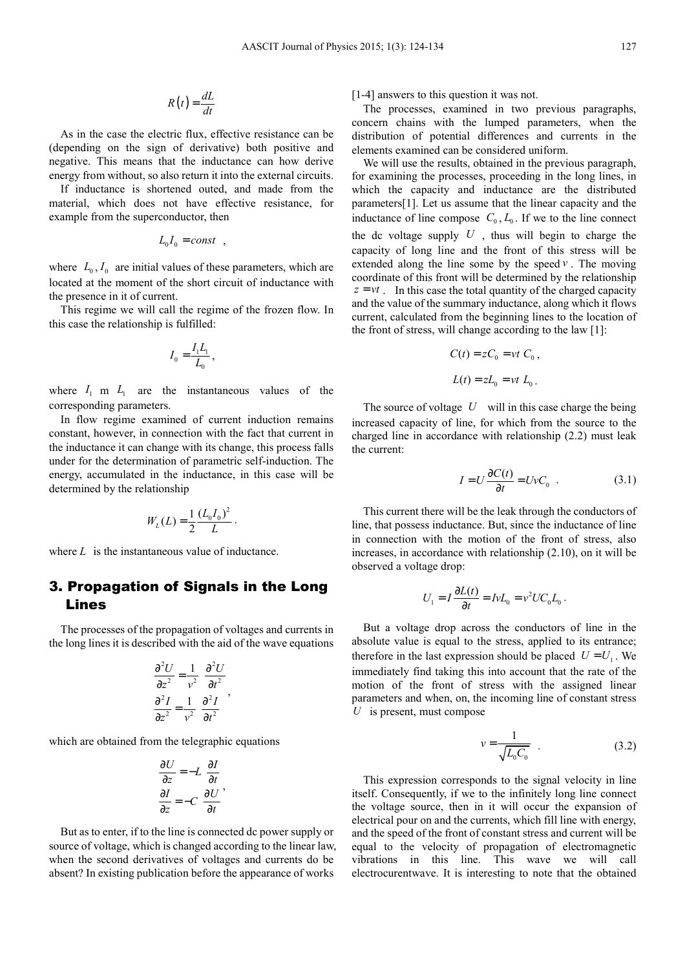$$
R(t) = \frac{dL}{dt}
$$

As in the case the electric flux, effective resistance can be (depending on the sign of derivative) both positive and negative. This means that the inductance can how derive energy from without, so also return it into the external circuits.

If inductance is shortened outed, and made from the material, which does not have effective resistance, for example from the superconductor, then

$$
L_0 I_0 = const \quad ,
$$

where  $L_0$ ,  $I_0$  are initial values of these parameters, which are located at the moment of the short circuit of inductance with the presence in it of current.

This regime we will call the regime of the frozen flow. In this case the relationship is fulfilled:

$$
I_0 = \frac{I_1 L_1}{L_0},
$$

where  $I_1$  m  $I_1$  are the instantaneous values of the corresponding parameters.

In flow regime examined of current induction remains constant, however, in connection with the fact that current in the inductance it can change with its change, this process falls under for the determination of parametric self-induction. The energy, accumulated in the inductance, in this case will be determined by the relationship

$$
W_L(L) = \frac{1}{2} \frac{(L_0 I_0)^2}{L}
$$

.

where *L* is the instantaneous value of inductance.

### 3. Propagation of Signals in the Long Lines

The processes of the propagation of voltages and currents in the long lines it is described with the aid of the wave equations

$$
\frac{\partial^2 U}{\partial z^2} = \frac{1}{v^2} \frac{\partial^2 U}{\partial t^2}
$$

$$
\frac{\partial^2 I}{\partial z^2} = \frac{1}{v^2} \frac{\partial^2 I}{\partial t^2}
$$

which are obtained from the telegraphic equations

$$
\frac{\partial U}{\partial z} = -L \frac{\partial I}{\partial t}
$$

$$
\frac{\partial I}{\partial z} = -C \frac{\partial U}{\partial t},
$$

But as to enter, if to the line is connected dc power supply or source of voltage, which is changed according to the linear law, when the second derivatives of voltages and currents do be absent? In existing publication before the appearance of works

[1-4] answers to this question it was not.

The processes, examined in two previous paragraphs, concern chains with the lumped parameters, when the distribution of potential differences and currents in the elements examined can be considered uniform.

We will use the results, obtained in the previous paragraph, for examining the processes, proceeding in the long lines, in which the capacity and inductance are the distributed parameters[1]. Let us assume that the linear capacity and the inductance of line compose  $C_0$ ,  $L_0$ . If we to the line connect the dc voltage supply  $U$ , thus will begin to charge the capacity of long line and the front of this stress will be extended along the line some by the speed  $\nu$ . The moving coordinate of this front will be determined by the relationship  $z = vt$ . In this case the total quantity of the charged capacity and the value of the summary inductance, along which it flows current, calculated from the beginning lines to the location of the front of stress, will change according to the law [1]:

$$
C(t) = zC_0 = vt C_0,
$$
  

$$
L(t) = zL_0 = vt L_0.
$$

The source of voltage *U* will in this case charge the being increased capacity of line, for which from the source to the charged line in accordance with relationship (2.2) must leak the current:

$$
I = U \frac{\partial C(t)}{\partial t} = UvC_0 \quad . \tag{3.1}
$$

This current there will be the leak through the conductors of line, that possess inductance. But, since the inductance of line in connection with the motion of the front of stress, also increases, in accordance with relationship (2.10), on it will be observed a voltage drop:

$$
U_1 = I \frac{\partial L(t)}{\partial t} = I v L_0 = v^2 U C_0 L_0.
$$

But a voltage drop across the conductors of line in the absolute value is equal to the stress, applied to its entrance; therefore in the last expression should be placed  $U = U_1$ . We immediately find taking this into account that the rate of the motion of the front of stress with the assigned linear parameters and when, on, the incoming line of constant stress *U* is present, must compose

$$
v = \frac{1}{\sqrt{L_0 C_0}} \quad . \tag{3.2}
$$

This expression corresponds to the signal velocity in line itself. Consequently, if we to the infinitely long line connect the voltage source, then in it will occur the expansion of electrical pour on and the currents, which fill line with energy, and the speed of the front of constant stress and current will be equal to the velocity of propagation of electromagnetic vibrations in this line. This wave we will call electrocurentwave. It is interesting to note that the obtained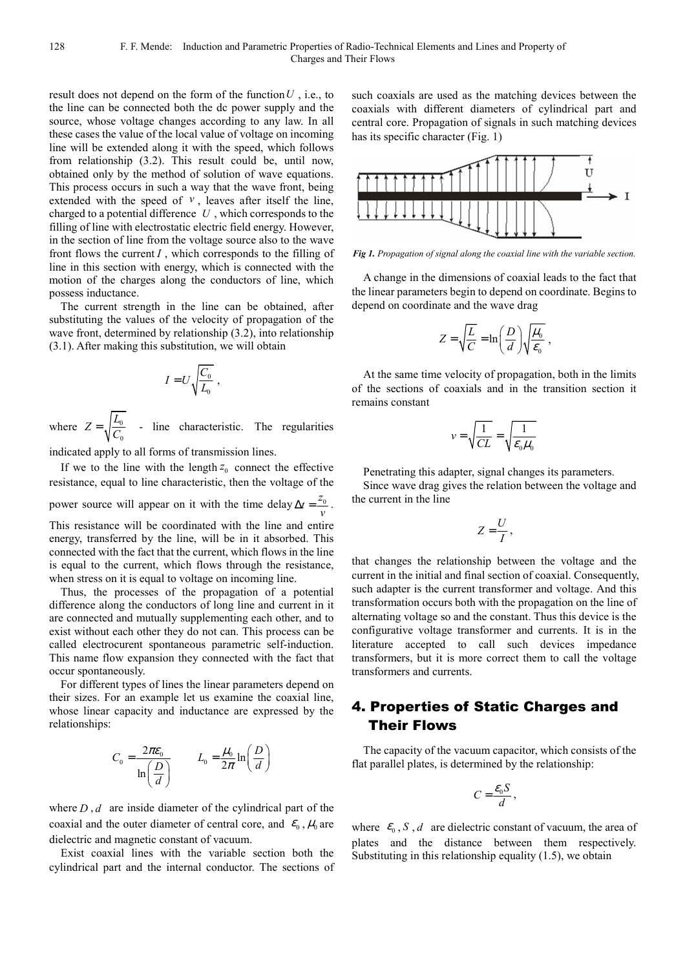result does not depend on the form of the function*U* , i.e., to the line can be connected both the dc power supply and the source, whose voltage changes according to any law. In all these cases the value of the local value of voltage on incoming line will be extended along it with the speed, which follows from relationship (3.2). This result could be, until now, obtained only by the method of solution of wave equations. This process occurs in such a way that the wave front, being extended with the speed of  $v$ , leaves after itself the line, charged to a potential difference *U* , which corresponds to the filling of line with electrostatic electric field energy. However, in the section of line from the voltage source also to the wave front flows the current *I* , which corresponds to the filling of line in this section with energy, which is connected with the motion of the charges along the conductors of line, which possess inductance.

The current strength in the line can be obtained, after substituting the values of the velocity of propagation of the wave front, determined by relationship (3.2), into relationship (3.1). After making this substitution, we will obtain

$$
I = U \sqrt{\frac{C_0}{L_0}} ,
$$

where  $Z = \sqrt{\frac{L_0}{C}}$ 0  $Z = \sqrt{\frac{L_0}{C_0}}$  - line characteristic. The regularities

indicated apply to all forms of transmission lines.

If we to the line with the length  $z_0$  connect the effective resistance, equal to line characteristic, then the voltage of the power source will appear on it with the time delay  $\Delta t = \frac{z_0}{v}$ . This resistance will be coordinated with the line and entire energy, transferred by the line, will be in it absorbed. This

connected with the fact that the current, which flows in the line is equal to the current, which flows through the resistance, when stress on it is equal to voltage on incoming line. Thus, the processes of the propagation of a potential

difference along the conductors of long line and current in it are connected and mutually supplementing each other, and to exist without each other they do not can. This process can be called electrocurent spontaneous parametric self-induction. This name flow expansion they connected with the fact that occur spontaneously.

For different types of lines the linear parameters depend on their sizes. For an example let us examine the coaxial line, whose linear capacity and inductance are expressed by the relationships:

$$
C_0 = \frac{2\pi\varepsilon_0}{\ln\left(\frac{D}{d}\right)} \qquad L_0 = \frac{\mu_0}{2\pi}\ln\left(\frac{D}{d}\right)
$$

where  $D, d$  are inside diameter of the cylindrical part of the coaxial and the outer diameter of central core, and  $\epsilon_0$ ,  $\mu_0$  are dielectric and magnetic constant of vacuum.

Exist coaxial lines with the variable section both the cylindrical part and the internal conductor. The sections of such coaxials are used as the matching devices between the coaxials with different diameters of cylindrical part and central core. Propagation of signals in such matching devices has its specific character (Fig. 1)



*Fig 1. Propagation of signal along the coaxial line with the variable section.* 

A change in the dimensions of coaxial leads to the fact that the linear parameters begin to depend on coordinate. Begins to depend on coordinate and the wave drag

$$
Z = \sqrt{\frac{L}{C}} = \ln\left(\frac{D}{d}\right)\sqrt{\frac{\mu_0}{\varepsilon_0}} ,
$$

At the same time velocity of propagation, both in the limits of the sections of coaxials and in the transition section it remains constant

$$
v = \sqrt{\frac{1}{CL}} = \sqrt{\frac{1}{\varepsilon_0 \mu_0}}
$$

Penetrating this adapter, signal changes its parameters.

Since wave drag gives the relation between the voltage and the current in the line

$$
Z=\frac{U}{I},
$$

that changes the relationship between the voltage and the current in the initial and final section of coaxial. Consequently, such adapter is the current transformer and voltage. And this transformation occurs both with the propagation on the line of alternating voltage so and the constant. Thus this device is the configurative voltage transformer and currents. It is in the literature accepted to call such devices impedance transformers, but it is more correct them to call the voltage transformers and currents.

## 4. Properties of Static Charges and Their Flows

The capacity of the vacuum capacitor, which consists of the flat parallel plates, is determined by the relationship:

$$
C=\frac{\mathcal{E}_0 S}{d},
$$

where  $\varepsilon_0$ , *S*, *d* are dielectric constant of vacuum, the area of plates and the distance between them respectively. Substituting in this relationship equality (1.5), we obtain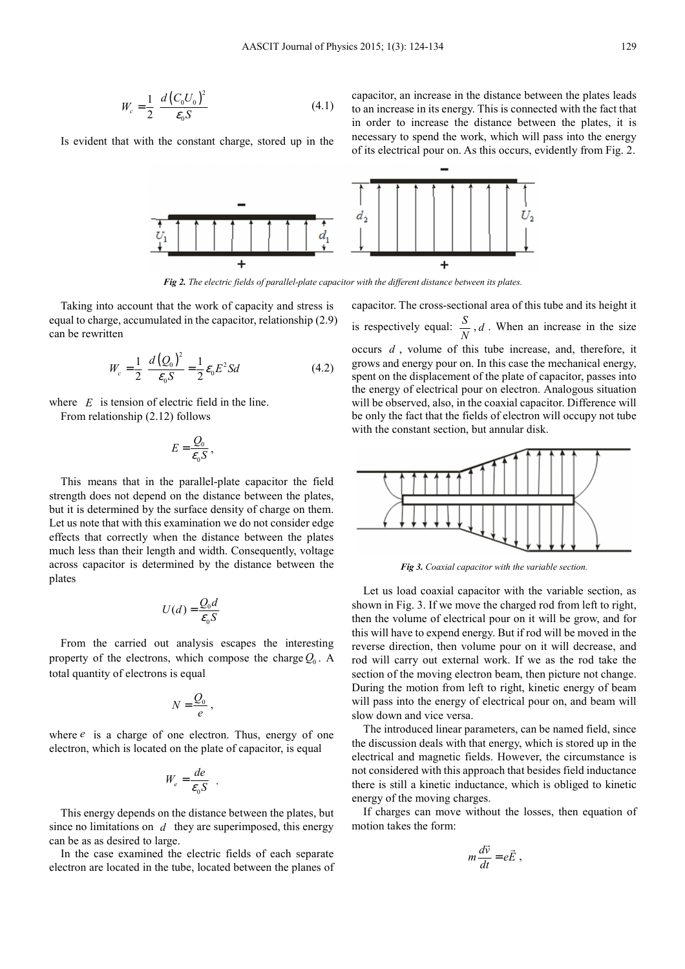$$
W_c = \frac{1}{2} \frac{d (C_0 U_0)^2}{\epsilon_0 S} \tag{4.1}
$$

Is evident that with the constant charge, stored up in the

capacitor, an increase in the distance between the plates leads to an increase in its energy. This is connected with the fact that in order to increase the distance between the plates, it is necessary to spend the work, which will pass into the energy of its electrical pour on. As this occurs, evidently from Fig. 2.



*Fig 2. The electric fields of parallel-plate capacitor with the different distance between its plates.* 

Taking into account that the work of capacity and stress is equal to charge, accumulated in the capacitor, relationship (2.9) can be rewritten

$$
W_c = \frac{1}{2} \frac{d(Q_0)^2}{\varepsilon_0 S} = \frac{1}{2} \varepsilon_0 E^2 S d \tag{4.2}
$$

where *E* is tension of electric field in the line. From relationship (2.12) follows

$$
E=\frac{Q_0}{\varepsilon_0 S},
$$

This means that in the parallel-plate capacitor the field strength does not depend on the distance between the plates, but it is determined by the surface density of charge on them. Let us note that with this examination we do not consider edge effects that correctly when the distance between the plates much less than their length and width. Consequently, voltage across capacitor is determined by the distance between the plates

$$
U(d) = \frac{Q_0 d}{\varepsilon_0 S}
$$

From the carried out analysis escapes the interesting property of the electrons, which compose the charge *Q*<sup>0</sup> . A total quantity of electrons is equal

$$
N=\frac{Q_0}{e}\,,
$$

where  $e$  is a charge of one electron. Thus, energy of one electron, which is located on the plate of capacitor, is equal

$$
W_e = \frac{de}{\epsilon_0 S} \quad .
$$

This energy depends on the distance between the plates, but since no limitations on *d* they are superimposed, this energy can be as as desired to large.

In the case examined the electric fields of each separate electron are located in the tube, located between the planes of capacitor. The cross-sectional area of this tube and its height it is respectively equal:  $\frac{S}{N}$ , *d*. When an increase in the size occurs *d* , volume of this tube increase, and, therefore, it grows and energy pour on. In this case the mechanical energy, spent on the displacement of the plate of capacitor, passes into the energy of electrical pour on electron. Analogous situation will be observed, also, in the coaxial capacitor. Difference will be only the fact that the fields of electron will occupy not tube with the constant section, but annular disk.



*Fig 3. Coaxial capacitor with the variable section.* 

Let us load coaxial capacitor with the variable section, as shown in Fig. 3. If we move the charged rod from left to right, then the volume of electrical pour on it will be grow, and for this will have to expend energy. But if rod will be moved in the reverse direction, then volume pour on it will decrease, and rod will carry out external work. If we as the rod take the section of the moving electron beam, then picture not change. During the motion from left to right, kinetic energy of beam will pass into the energy of electrical pour on, and beam will slow down and vice versa.

The introduced linear parameters, can be named field, since the discussion deals with that energy, which is stored up in the electrical and magnetic fields. However, the circumstance is not considered with this approach that besides field inductance there is still a kinetic inductance, which is obliged to kinetic energy of the moving charges.

If charges can move without the losses, then equation of motion takes the form:

$$
m\frac{d\vec{v}}{dt}=e\vec{E} ,
$$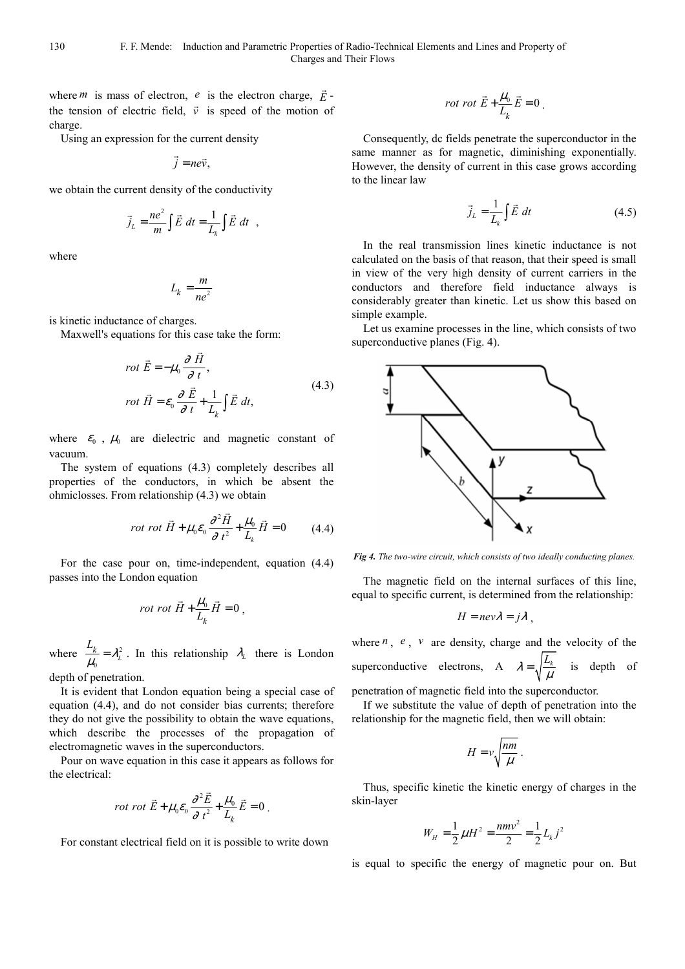where *m* is mass of electron, *e* is the electron charge,  $\vec{E}$  the tension of electric field,  $\vec{v}$  is speed of the motion of charge.

Using an expression for the current density

 $\vec{j} = n e \vec{v}$ ,

we obtain the current density of the conductivity

$$
\vec{j}_L = \frac{ne^2}{m} \int \vec{E} dt = \frac{1}{L_k} \int \vec{E} dt ,
$$

where

$$
L_k = \frac{m}{ne^2}
$$

is kinetic inductance of charges.

Maxwell's equations for this case take the form:

$$
rot \vec{E} = -\mu_0 \frac{\partial \vec{H}}{\partial t},
$$
  
\n
$$
rot \vec{H} = \varepsilon_0 \frac{\partial \vec{E}}{\partial t} + \frac{1}{L_k} \int \vec{E} dt,
$$
\n(4.3)

where  $\epsilon_0$ ,  $\mu_0$  are dielectric and magnetic constant of vacuum.

The system of equations (4.3) completely describes all properties of the conductors, in which be absent the ohmiclosses. From relationship (4.3) we obtain

$$
rot \ \vec{H} + \mu_0 \varepsilon_0 \frac{\partial^2 \vec{H}}{\partial t^2} + \frac{\mu_0}{L_k} \vec{H} = 0 \tag{4.4}
$$

For the case pour on, time-independent, equation (4.4) passes into the London equation

$$
rot\ rot\ \vec{H} + \frac{\mu_0}{L_k}\vec{H} = 0\ ,
$$

where  $\frac{-k}{l} = \lambda_L^2$  $\frac{L_k}{\mu_0} = \lambda_L^2$  $\frac{-k}{\mu_0} = \lambda_L^2$ . In this relationship  $\lambda_L$  there is London

depth of penetration.

It is evident that London equation being a special case of equation (4.4), and do not consider bias currents; therefore they do not give the possibility to obtain the wave equations, which describe the processes of the propagation of electromagnetic waves in the superconductors.

Pour on wave equation in this case it appears as follows for the electrical:

$$
rot \tdot{\vec{E}} + \mu_0 \varepsilon_0 \frac{\partial^2 \vec{E}}{\partial t^2} + \frac{\mu_0}{L_k} \vec{E} = 0.
$$

For constant electrical field on it is possible to write down

$$
rot \; rot \; \vec{E} + \frac{\mu_0}{L_k} \vec{E} = 0 \; .
$$

Consequently, dc fields penetrate the superconductor in the same manner as for magnetic, diminishing exponentially. However, the density of current in this case grows according to the linear law

$$
\vec{j}_L = \frac{1}{L_k} \int \vec{E} \, dt \tag{4.5}
$$

In the real transmission lines kinetic inductance is not calculated on the basis of that reason, that their speed is small in view of the very high density of current carriers in the conductors and therefore field inductance always is considerably greater than kinetic. Let us show this based on simple example.

Let us examine processes in the line, which consists of two superconductive planes (Fig. 4).



*Fig 4. The two-wire circuit, which consists of two ideally conducting planes.* 

The magnetic field on the internal surfaces of this line, equal to specific current, is determined from the relationship:

$$
H = nev\lambda = j\lambda ,
$$

where *n* , *e* , *v* are density, charge and the velocity of the superconductive electrons, A  $\lambda = \sqrt{\frac{L_k}{M}}$  $\frac{u_k}{\mu}$  is depth of penetration of magnetic field into the superconductor.

If we substitute the value of depth of penetration into the

relationship for the magnetic field, then we will obtain:

$$
H = v \sqrt{\frac{nm}{\mu}} \; .
$$

Thus, specific kinetic the kinetic energy of charges in the skin-layer

$$
W_{H} = \frac{1}{2}\mu H^{2} = \frac{nmv^{2}}{2} = \frac{1}{2}L_{k}j^{2}
$$

is equal to specific the energy of magnetic pour on. But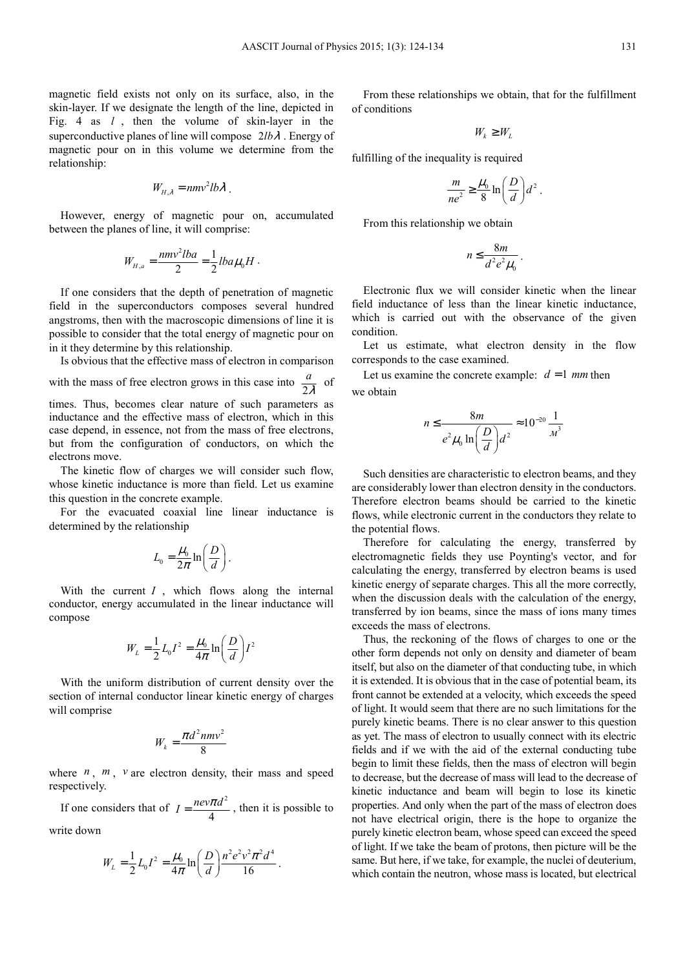magnetic field exists not only on its surface, also, in the skin-layer. If we designate the length of the line, depicted in Fig. 4 as *l* , then the volume of skin-layer in the superconductive planes of line will compose 2*lb*λ . Energy of magnetic pour on in this volume we determine from the relationship:

$$
W_{H,\lambda} = n m v^2 l b \lambda.
$$

However, energy of magnetic pour on, accumulated between the planes of line, it will comprise:

$$
W_{H,a} = \frac{nmv^2lba}{2} = \frac{1}{2}lba\mu_0H.
$$

If one considers that the depth of penetration of magnetic field in the superconductors composes several hundred angstroms, then with the macroscopic dimensions of line it is possible to consider that the total energy of magnetic pour on in it they determine by this relationship.

Is obvious that the effective mass of electron in comparison

with the mass of free electron grows in this case into  $\frac{1}{2}$ *a*  $\frac{i}{\lambda}$  of times. Thus, becomes clear nature of such parameters as inductance and the effective mass of electron, which in this case depend, in essence, not from the mass of free electrons, but from the configuration of conductors, on which the electrons move.

The kinetic flow of charges we will consider such flow, whose kinetic inductance is more than field. Let us examine this question in the concrete example.

For the evacuated coaxial line linear inductance is determined by the relationship

$$
L_0 = \frac{\mu_0}{2\pi} \ln\left(\frac{D}{d}\right).
$$

With the current *I*, which flows along the internal conductor, energy accumulated in the linear inductance will compose

$$
W_L = \frac{1}{2} L_0 I^2 = \frac{\mu_0}{4\pi} \ln\left(\frac{D}{d}\right) I^2
$$

With the uniform distribution of current density over the section of internal conductor linear kinetic energy of charges will comprise

$$
W_k = \frac{\pi d^2 n m v^2}{8}
$$

where  $n$ ,  $m$ ,  $v$  are electron density, their mass and speed respectively.

If one considers that of  $I = \frac{nev\pi d^2}{4}$  $I = \frac{nev\pi d^2}{4}$ , then it is possible to write down

$$
W_L = \frac{1}{2} L_0 I^2 = \frac{\mu_0}{4\pi} \ln \left( \frac{D}{d} \right) \frac{n^2 e^2 v^2 \pi^2 d^4}{16}.
$$

From these relationships we obtain, that for the fulfillment of conditions

$$
W_k \geq W_L
$$

fulfilling of the inequality is required

$$
\frac{m}{ne^2} \ge \frac{\mu_0}{8} \ln \left( \frac{D}{d} \right) d^2.
$$

From this relationship we obtain

$$
n\leq \frac{8m}{d^2e^2\mu_0}.
$$

Electronic flux we will consider kinetic when the linear field inductance of less than the linear kinetic inductance, which is carried out with the observance of the given condition.

Let us estimate, what electron density in the flow corresponds to the case examined.

Let us examine the concrete example:  $d = 1$  mm then we obtain

$$
n \le \frac{8m}{e^2 \mu_0 \ln\left(\frac{D}{d}\right) d^2} \approx 10^{-20} \frac{1}{m^3}
$$

Such densities are characteristic to electron beams, and they are considerably lower than electron density in the conductors. Therefore electron beams should be carried to the kinetic flows, while electronic current in the conductors they relate to the potential flows.

Therefore for calculating the energy, transferred by electromagnetic fields they use Poynting's vector, and for calculating the energy, transferred by electron beams is used kinetic energy of separate charges. This all the more correctly, when the discussion deals with the calculation of the energy, transferred by ion beams, since the mass of ions many times exceeds the mass of electrons.

Thus, the reckoning of the flows of charges to one or the other form depends not only on density and diameter of beam itself, but also on the diameter of that conducting tube, in which it is extended. It is obvious that in the case of potential beam, its front cannot be extended at a velocity, which exceeds the speed of light. It would seem that there are no such limitations for the purely kinetic beams. There is no clear answer to this question as yet. The mass of electron to usually connect with its electric fields and if we with the aid of the external conducting tube begin to limit these fields, then the mass of electron will begin to decrease, but the decrease of mass will lead to the decrease of kinetic inductance and beam will begin to lose its kinetic properties. And only when the part of the mass of electron does not have electrical origin, there is the hope to organize the purely kinetic electron beam, whose speed can exceed the speed of light. If we take the beam of protons, then picture will be the same. But here, if we take, for example, the nuclei of deuterium, which contain the neutron, whose mass is located, but electrical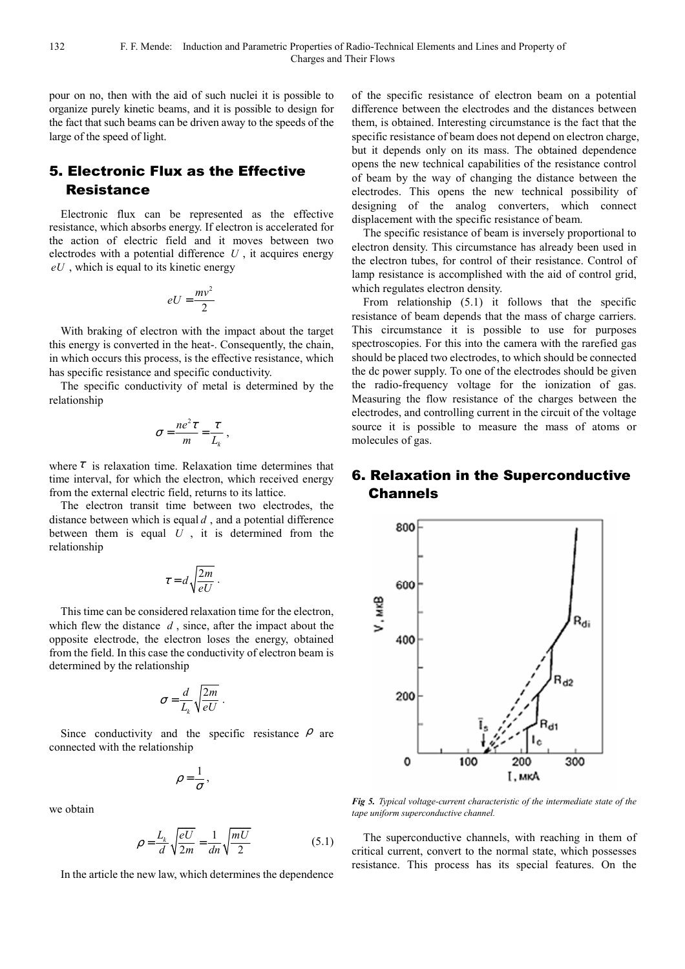pour on no, then with the aid of such nuclei it is possible to organize purely kinetic beams, and it is possible to design for the fact that such beams can be driven away to the speeds of the large of the speed of light.

# 5. Electronic Flux as the Effective Resistance

Electronic flux can be represented as the effective resistance, which absorbs energy. If electron is accelerated for the action of electric field and it moves between two electrodes with a potential difference  $U$ , it acquires energy *eU* , which is equal to its kinetic energy

$$
eU = \frac{mv^2}{2}
$$

With braking of electron with the impact about the target this energy is converted in the heat-. Consequently, the chain, in which occurs this process, is the effective resistance, which has specific resistance and specific conductivity.

The specific conductivity of metal is determined by the relationship

$$
\sigma = \frac{ne^2\tau}{m} = \frac{\tau}{L_k},
$$

where  $\tau$  is relaxation time. Relaxation time determines that time interval, for which the electron, which received energy from the external electric field, returns to its lattice.

The electron transit time between two electrodes, the distance between which is equal *d* , and a potential difference between them is equal *U* , it is determined from the relationship

$$
\tau = d \sqrt{\frac{2m}{eU}} \; .
$$

This time can be considered relaxation time for the electron, which flew the distance *d* , since, after the impact about the opposite electrode, the electron loses the energy, obtained from the field. In this case the conductivity of electron beam is determined by the relationship

$$
\sigma = \frac{d}{L_k} \sqrt{\frac{2m}{eU}}.
$$

Since conductivity and the specific resistance  $\rho$  are connected with the relationship

$$
\rho=\frac{1}{\sigma},
$$

we obtain

$$
\rho = \frac{L_k}{d} \sqrt{\frac{eU}{2m}} = \frac{1}{dn} \sqrt{\frac{mU}{2}}
$$
\n(5.1)

In the article the new law, which determines the dependence

of the specific resistance of electron beam on a potential difference between the electrodes and the distances between them, is obtained. Interesting circumstance is the fact that the specific resistance of beam does not depend on electron charge, but it depends only on its mass. The obtained dependence opens the new technical capabilities of the resistance control of beam by the way of changing the distance between the electrodes. This opens the new technical possibility of designing of the analog converters, which connect displacement with the specific resistance of beam.

The specific resistance of beam is inversely proportional to electron density. This circumstance has already been used in the electron tubes, for control of their resistance. Control of lamp resistance is accomplished with the aid of control grid, which regulates electron density.

From relationship (5.1) it follows that the specific resistance of beam depends that the mass of charge carriers. This circumstance it is possible to use for purposes spectroscopies. For this into the camera with the rarefied gas should be placed two electrodes, to which should be connected the dc power supply. To one of the electrodes should be given the radio-frequency voltage for the ionization of gas. Measuring the flow resistance of the charges between the electrodes, and controlling current in the circuit of the voltage source it is possible to measure the mass of atoms or molecules of gas.

# 6. Relaxation in the Superconductive Channels



*Fig 5. Typical voltage-current characteristic of the intermediate state of the tape uniform superconductive channel.* 

The superconductive channels, with reaching in them of critical current, convert to the normal state, which possesses resistance. This process has its special features. On the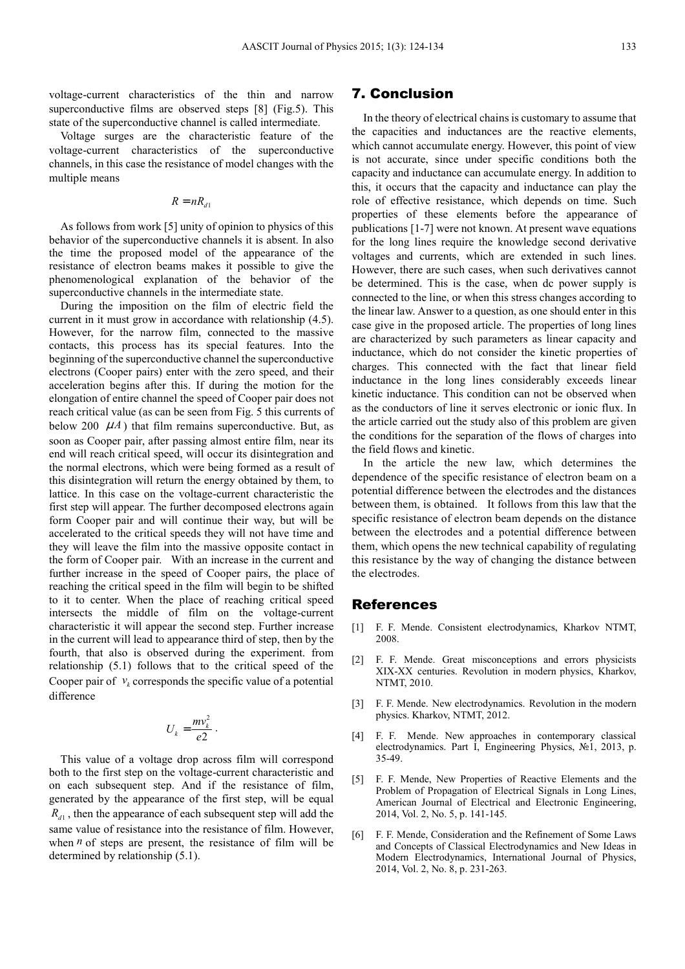voltage-current characteristics of the thin and narrow superconductive films are observed steps [8] (Fig.5). This state of the superconductive channel is called intermediate.

Voltage surges are the characteristic feature of the voltage-current characteristics of the superconductive channels, in this case the resistance of model changes with the multiple means

 $R = nR_{d1}$ 

As follows from work [5] unity of opinion to physics of this behavior of the superconductive channels it is absent. In also the time the proposed model of the appearance of the resistance of electron beams makes it possible to give the phenomenological explanation of the behavior of the superconductive channels in the intermediate state.

During the imposition on the film of electric field the current in it must grow in accordance with relationship (4.5). However, for the narrow film, connected to the massive contacts, this process has its special features. Into the beginning of the superconductive channel the superconductive electrons (Cooper pairs) enter with the zero speed, and their acceleration begins after this. If during the motion for the elongation of entire channel the speed of Cooper pair does not reach critical value (as can be seen from Fig. 5 this currents of below 200  $\mu$ *A*) that film remains superconductive. But, as soon as Cooper pair, after passing almost entire film, near its end will reach critical speed, will occur its disintegration and the normal electrons, which were being formed as a result of this disintegration will return the energy obtained by them, to lattice. In this case on the voltage-current characteristic the first step will appear. The further decomposed electrons again form Cooper pair and will continue their way, but will be accelerated to the critical speeds they will not have time and they will leave the film into the massive opposite contact in the form of Cooper pair. With an increase in the current and further increase in the speed of Cooper pairs, the place of reaching the critical speed in the film will begin to be shifted to it to center. When the place of reaching critical speed intersects the middle of film on the voltage-current characteristic it will appear the second step. Further increase in the current will lead to appearance third of step, then by the fourth, that also is observed during the experiment. from relationship (5.1) follows that to the critical speed of the Cooper pair of  $v_k$  corresponds the specific value of a potential difference

$$
U_k = \frac{mv_k^2}{e2} \ .
$$

This value of a voltage drop across film will correspond both to the first step on the voltage-current characteristic and on each subsequent step. And if the resistance of film, generated by the appearance of the first step, will be equal  $R_{d1}$ , then the appearance of each subsequent step will add the same value of resistance into the resistance of film. However, when  $n$  of steps are present, the resistance of film will be determined by relationship (5.1).

#### 7. Conclusion

In the theory of electrical chains is customary to assume that the capacities and inductances are the reactive elements, which cannot accumulate energy. However, this point of view is not accurate, since under specific conditions both the capacity and inductance can accumulate energy. In addition to this, it occurs that the capacity and inductance can play the role of effective resistance, which depends on time. Such properties of these elements before the appearance of publications [1-7] were not known. At present wave equations for the long lines require the knowledge second derivative voltages and currents, which are extended in such lines. However, there are such cases, when such derivatives cannot be determined. This is the case, when dc power supply is connected to the line, or when this stress changes according to the linear law. Answer to a question, as one should enter in this case give in the proposed article. The properties of long lines are characterized by such parameters as linear capacity and inductance, which do not consider the kinetic properties of charges. This connected with the fact that linear field inductance in the long lines considerably exceeds linear kinetic inductance. This condition can not be observed when as the conductors of line it serves electronic or ionic flux. In the article carried out the study also of this problem are given the conditions for the separation of the flows of charges into the field flows and kinetic.

In the article the new law, which determines the dependence of the specific resistance of electron beam on a potential difference between the electrodes and the distances between them, is obtained. It follows from this law that the specific resistance of electron beam depends on the distance between the electrodes and a potential difference between them, which opens the new technical capability of regulating this resistance by the way of changing the distance between the electrodes.

#### References

- [1] F. F. Mende. Consistent electrodynamics, Kharkov NTMT, 2008.
- [2] F. F. Mende. Great misconceptions and errors physicists XIX-XX centuries. Revolution in modern physics, Kharkоv, NTMT, 2010.
- [3] F. F. Mende. New electrodynamics. Revolution in the modern physics. Kharkov, NTMT, 2012.
- [4] F. F. Mende. New approaches in contemporary classical electrodynamics. Part I, Engineering Physics, №1, 2013, p. 35-49.
- [5] F. F. Mende, New Properties of Reactive Elements and the Problem of Propagation of Electrical Signals in Long Lines, American Journal of Electrical and Electronic Engineering, 2014, Vol. 2, No. 5, p. 141-145.
- [6] F. F. Mende, Consideration and the Refinement of Some Laws and Concepts of Classical Electrodynamics and New Ideas in Modern Electrodynamics, International Journal of Physics, 2014, Vol. 2, No. 8, p. 231-263.